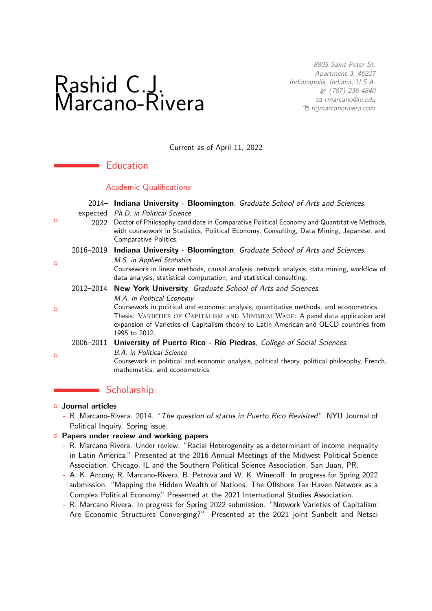# Rashid C.J. Marcano-Rivera

8805 Saint Peter St. Apartment 3, 46227 Indianapolis, Indiana, U.S.A. H (787) 236 4840 B [rmarcano@iu.edu](mailto:rmarcano@iu.edu) <sup>•</sup> [rcjmarcanorivera.com](http://rcjmarcanorivera.com)

Current as of April 11, 2022

## **Education**

## Academic Qualifications

|         |                                                                                   | 2014- Indiana University - Bloomington, Graduate School of Arts and Sciences.                                                                                                                                                                                                                                   |
|---------|-----------------------------------------------------------------------------------|-----------------------------------------------------------------------------------------------------------------------------------------------------------------------------------------------------------------------------------------------------------------------------------------------------------------|
| $\circ$ | expected<br>2022                                                                  | Ph.D. in Political Science<br>Doctor of Philosophy candidate in Comparative Political Economy and Quantitative Methods,<br>with coursework in Statistics, Political Economy, Consulting, Data Mining, Japanese, and<br>Comparative Politics.                                                                    |
|         | 2016–2019 Indiana University - Bloomington, Graduate School of Arts and Sciences. |                                                                                                                                                                                                                                                                                                                 |
| $\circ$ |                                                                                   | M.S. in Applied Statistics<br>Coursework in linear methods, causal analysis, network analysis, data mining, workflow of<br>data analysis, statistical computation, and statistical consulting.                                                                                                                  |
|         | 2012-2014 New York University, Graduate School of Arts and Sciences.              |                                                                                                                                                                                                                                                                                                                 |
| $\circ$ |                                                                                   | M.A. in Political Economy<br>Coursework in political and economic analysis, quantitative methods, and econometrics.<br>Thesis: VARIETIES OF CAPITALISM AND MINIMUM WAGE: A panel data application and<br>expansion of Varieties of Capitalism theory to Latin American and OECD countries from<br>1995 to 2012. |
| $\circ$ |                                                                                   | 2006-2011 University of Puerto Rico - Río Piedras, College of Social Sciences.                                                                                                                                                                                                                                  |
|         |                                                                                   | <b>B.A.</b> in Political Science<br>Coursework in political and economic analysis, political theory, political philosophy, French,<br>mathematics, and econometrics.                                                                                                                                            |
|         |                                                                                   | Scholarship                                                                                                                                                                                                                                                                                                     |

# { **Journal articles**

**-** R. Marcano-Rivera. 2014. "The question of status in Puerto Rico Revisited". NYU Journal of Political Inquiry. Spring issue.

## { **Papers under review and working papers**

- **-** R. Marcano Rivera. Under review. "Racial Heterogeneity as a determinant of income inequality in Latin America." Presented at the 2016 Annual Meetings of the Midwest Political Science Association, Chicago, IL and the Southern Political Science Association, San Juan, PR.
- **-** A. K. Antony, R. Marcano-Rivera, B. Petrova and W. K. Winecoff. In progress for Spring 2022 submission. "Mapping the Hidden Wealth of Nations: The Offshore Tax Haven Network as a Complex Political Economy." Presented at the 2021 International Studies Association.
- **-** R. Marcano Rivera. In progress for Spring 2022 submission. "Network Varieties of Capitalism: Are Economic Structures Converging?" Presented at the 2021 joint Sunbelt and Netsci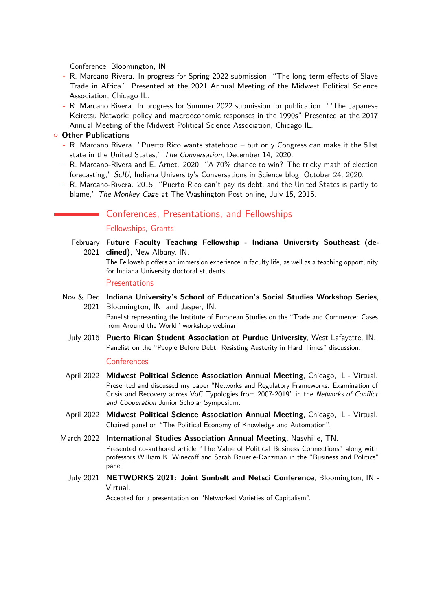Conference, Bloomington, IN.

- **-** R. Marcano Rivera. In progress for Spring 2022 submission. "The long-term effects of Slave Trade in Africa." Presented at the 2021 Annual Meeting of the Midwest Political Science Association, Chicago IL.
- **-** R. Marcano Rivera. In progress for Summer 2022 submission for publication. "'The Japanese Keiretsu Network: policy and macroeconomic responses in the 1990s" Presented at the 2017 Annual Meeting of the Midwest Political Science Association, Chicago IL.

#### { **Other Publications**

- **-** R. Marcano Rivera. "Puerto Rico wants statehood but only Congress can make it the 51st state in the United States," The Conversation, December 14, 2020.
- **-** R. Marcano-Rivera and E. Arnet. 2020. "A 70% chance to win? The tricky math of election forecasting," ScIU, Indiana University's Conversations in Science blog, October 24, 2020.
- **-** R. Marcano-Rivera. 2015. "Puerto Rico can't pay its debt, and the United States is partly to blame," The Monkey Cage at The Washington Post online, July 15, 2015.

## **Conferences, Presentations, and Fellowships**

#### Fellowships, Grants

February **Future Faculty Teaching Fellowship - Indiana University Southeast (de-**2021 **clined)**, New Albany, IN. The Fellowship offers an immersion experience in faculty life, as well as a teaching opportunity for Indiana University doctoral students.

#### Presentations

Nov & Dec **Indiana University's School of Education's Social Studies Workshop Series**, 2021 Bloomington, IN, and Jasper, IN.

Panelist representing the Institute of European Studies on the "Trade and Commerce: Cases from Around the World" workshop webinar.

July 2016 **Puerto Rican Student Association at Purdue University**, West Lafayette, IN. Panelist on the "People Before Debt: Resisting Austerity in Hard Times" discussion.

#### Conferences

- April 2022 **Midwest Political Science Association Annual Meeting**, Chicago, IL Virtual. Presented and discussed my paper "Networks and Regulatory Frameworks: Examination of Crisis and Recovery across VoC Typologies from 2007-2019" in the Networks of Conflict and Cooperation Junior Scholar Symposium.
- April 2022 **Midwest Political Science Association Annual Meeting**, Chicago, IL Virtual. Chaired panel on "The Political Economy of Knowledge and Automation".
- March 2022 **International Studies Association Annual Meeting**, Nasvhille, TN. Presented co-authored article "The Value of Political Business Connections" along with professors William K. Winecoff and Sarah Bauerle-Danzman in the "Business and Politics" panel.
	- July 2021 **NETWORKS 2021: Joint Sunbelt and Netsci Conference**, Bloomington, IN Virtual.

Accepted for a presentation on "Networked Varieties of Capitalism".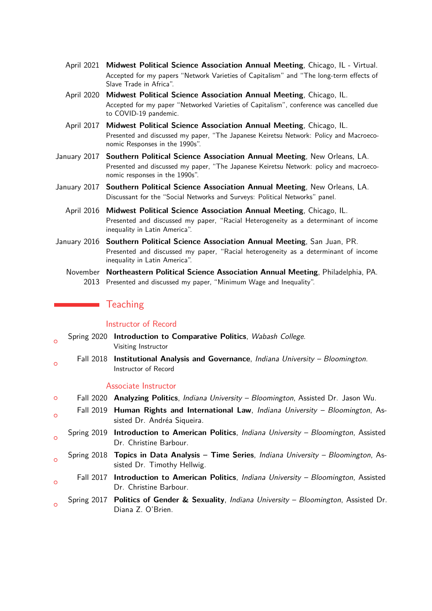- April 2021 **Midwest Political Science Association Annual Meeting**, Chicago, IL Virtual. Accepted for my papers "Network Varieties of Capitalism" and "The long-term effects of Slave Trade in Africa".
- April 2020 **Midwest Political Science Association Annual Meeting**, Chicago, IL. Accepted for my paper "Networked Varieties of Capitalism", conference was cancelled due to COVID-19 pandemic.
- April 2017 **Midwest Political Science Association Annual Meeting**, Chicago, IL. Presented and discussed my paper, "The Japanese Keiretsu Network: Policy and Macroeconomic Responses in the 1990s".
- January 2017 **Southern Political Science Association Annual Meeting**, New Orleans, LA. Presented and discussed my paper, "The Japanese Keiretsu Network: policy and macroeconomic responses in the 1990s".
- January 2017 **Southern Political Science Association Annual Meeting**, New Orleans, LA. Discussant for the "Social Networks and Surveys: Political Networks" panel.
	- April 2016 **Midwest Political Science Association Annual Meeting**, Chicago, IL. Presented and discussed my paper, "Racial Heterogeneity as a determinant of income inequality in Latin America".
- January 2016 **Southern Political Science Association Annual Meeting**, San Juan, PR. Presented and discussed my paper, "Racial heterogeneity as a determinant of income inequality in Latin America".
	- November **Northeastern Political Science Association Annual Meeting**, Philadelphia, PA. 2013 Presented and discussed my paper, "Minimum Wage and Inequality".

## **T**eaching

 $\Omega$ 

#### Instructor of Record

- $\overline{a}$ Spring 2020 **Introduction to Comparative Politics**, Wabash College. Visiting Instructor  $\circ$ Fall 2018 **Institutional Analysis and Governance**, Indiana University – Bloomington. Instructor of Record Associate Instructor { Fall 2020 **Analyzing Politics**, Indiana University – Bloomington, Assisted Dr. Jason Wu.  $\Omega$ Fall 2019 **Human Rights and International Law**, Indiana University – Bloomington, Assisted Dr. Andréa Siqueira.  $\circ$ Spring 2019 **Introduction to American Politics**, Indiana University – Bloomington, Assisted Dr. Christine Barbour.  $\sim$ Spring 2018 **Topics in Data Analysis – Time Series**, Indiana University – Bloomington, Assisted Dr. Timothy Hellwig.
	- Fall 2017 **Introduction to American Politics**, Indiana University Bloomington, Assisted Dr. Christine Barbour.
- $\circ$ Spring 2017 **Politics of Gender & Sexuality**, Indiana University – Bloomington, Assisted Dr. Diana Z. O'Brien.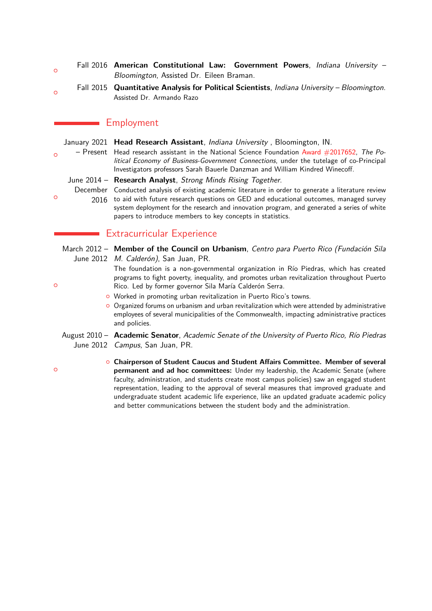- $\circ$ Fall 2016 **American Constitutional Law: Government Powers**, Indiana University – Bloomington, Assisted Dr. Eileen Braman.
- $\circ$ Fall 2015 **Quantitative Analysis for Political Scientists**, Indiana University – Bloomington. Assisted Dr. Armando Razo

# Employment

|          | January 2021 Head Research Assistant, <i>Indiana University</i> , Bloomington, IN. |                                                                                                                                                                        |  |  |
|----------|------------------------------------------------------------------------------------|------------------------------------------------------------------------------------------------------------------------------------------------------------------------|--|--|
| $\Omega$ |                                                                                    | - Present Head research assistant in the National Science Foundation Award $\#2017652$ , The Po-                                                                       |  |  |
|          |                                                                                    | litical Economy of Business-Government Connections, under the tutelage of co-Principal<br>Investigators professors Sarah Bauerle Danzman and William Kindred Winecoff. |  |  |
|          |                                                                                    | June 2014 - Research Analyst, Strong Minds Rising Together.                                                                                                            |  |  |
| $\Omega$ |                                                                                    | December Conducted analysis of existing academic literature in order to generate a literature review                                                                   |  |  |
|          | 2016                                                                               | to aid with future research questions on GED and educational outcomes, managed survey                                                                                  |  |  |
|          |                                                                                    | system deployment for the research and innovation program, and generated a series of white                                                                             |  |  |
|          |                                                                                    | papers to introduce members to key concepts in statistics.                                                                                                             |  |  |

# **Extracurricular Experience**

|   | March 2012 - Member of the Council on Urbanism, Centro para Puerto Rico (Fundación Sila<br>June 2012 M. Calderón), San Juan, PR.                                                                                                             |
|---|----------------------------------------------------------------------------------------------------------------------------------------------------------------------------------------------------------------------------------------------|
| O | The foundation is a non-governmental organization in Río Piedras, which has created<br>programs to fight poverty, inequality, and promotes urban revitalization throughout Puerto<br>Rico. Led by former governor Sila María Calderón Serra. |
|   | <b>O</b> Worked in promoting urban revitalization in Puerto Rico's towns.                                                                                                                                                                    |
|   | O Organized forums on urbanism and urban revitalization which were attended by administrative<br>employees of several municipalities of the Commonwealth, impacting administrative practices<br>and policies.                                |
|   | August 2010 - Academic Senator, Academic Senate of the University of Puerto Rico, Río Piedras<br>June 2012 Campus, San Juan, PR.                                                                                                             |
| O | <b>O</b> Chairperson of Student Caucus and Student Affairs Committee. Member of several<br><b>nermanent and ad hoc committees:</b> Under my leadership the Academic Senate (where                                                            |

**permanent and ad hoc committees:** Under my leadership, the Academic Senate (where faculty, administration, and students create most campus policies) saw an engaged student representation, leading to the approval of several measures that improved graduate and undergraduate student academic life experience, like an updated graduate academic policy and better communications between the student body and the administration.